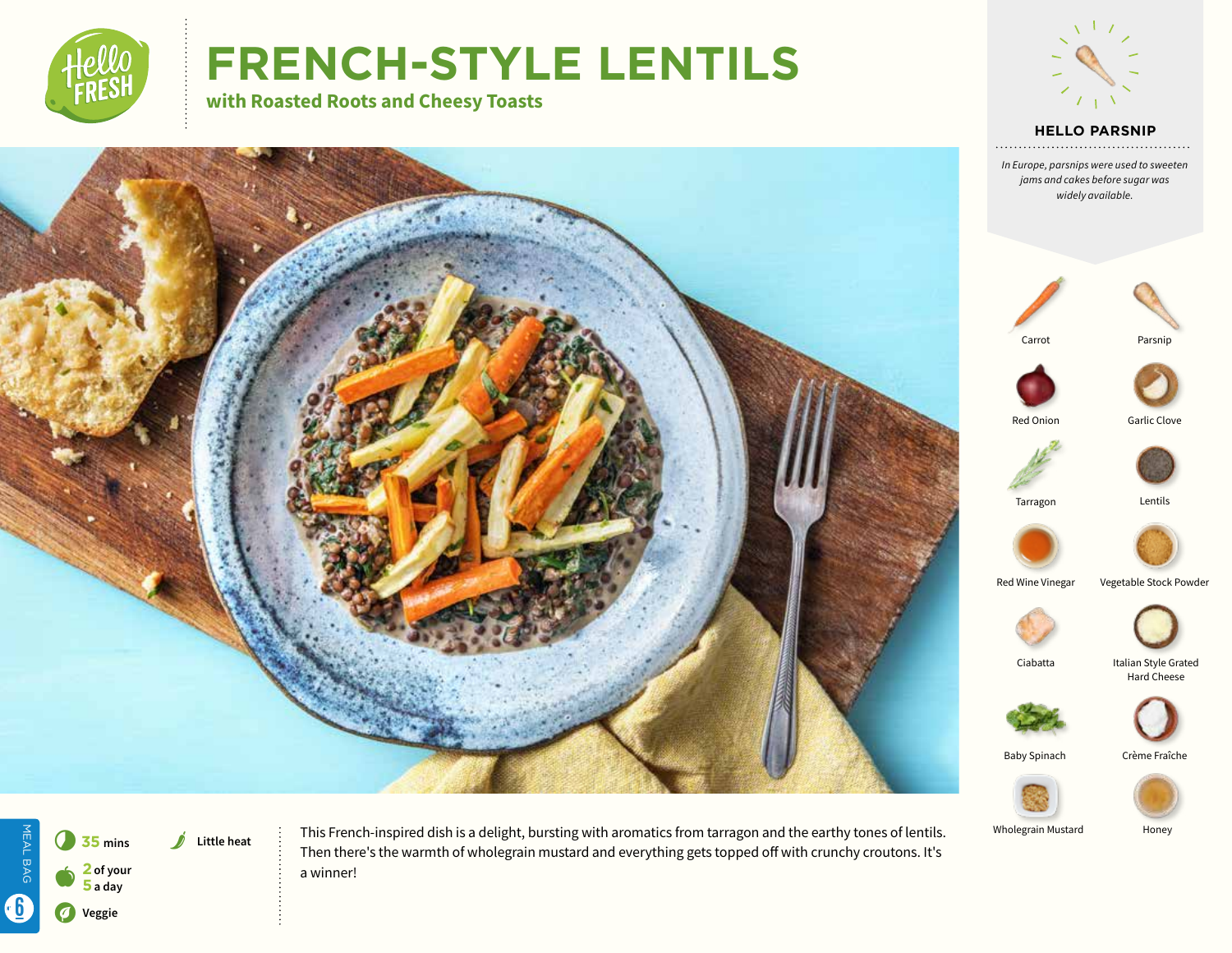

# **FRENCH-STYLE LENTILS**

**with Roasted Roots and Cheesy Toasts** 



**HELLO PARSNIP**







This French-inspired dish is a delight, bursting with aromatics from tarragon and the earthy tones of lentils. Then there's the warmth of wholegrain mustard and everything gets topped off with crunchy croutons. It's a winner!